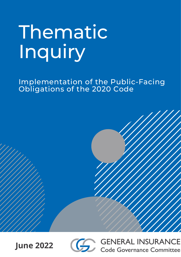# Thematic Inquiry

Implementation of the Public-Facing Obligations of the 2020 Code







**GENERAL INSURANCE** Code Governance Committee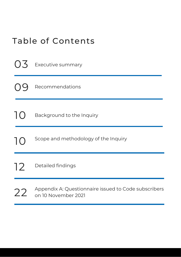|  |  | <b>Table of Contents</b> |
|--|--|--------------------------|
|  |  |                          |

| $( )$ .       | <b>Executive summary</b>                                                    |
|---------------|-----------------------------------------------------------------------------|
|               | Recommendations                                                             |
| $\mathsf{IC}$ | Background to the Inquiry                                                   |
| Ъ             | Scope and methodology of the Inquiry                                        |
| 12            | Detailed findings                                                           |
| 22            | Appendix A: Questionnaire issued to Code subscribers<br>on 10 November 2021 |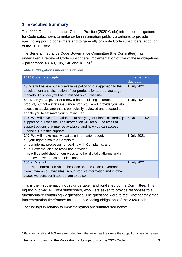# **1. Executive Summary**

The 2020 General Insurance Code of Practice (2020 Code) introduced obligations for Code subscribers to make certain information publicly available, to provide specific support to consumers and to generally promote Code subscribers' adoption of the 2020 Code.

The General Insurance Code Governance Committee (the Committee) has undertaken a review of Code subscribers' implementation of five of these obligations  $-$  paragraphs 43, 48, 105, 140 and 186(a). $^{\rm 1}$ 

|  | Table 1: Obligations under this review |  |  |  |
|--|----------------------------------------|--|--|--|
|--|----------------------------------------|--|--|--|

| 2020 Code paragraph                                                                                                                                                                                                                                                                                                         | <b>Implementation</b><br>due date |
|-----------------------------------------------------------------------------------------------------------------------------------------------------------------------------------------------------------------------------------------------------------------------------------------------------------------------------|-----------------------------------|
| 43. We will have a publicly available policy on our approach to the<br>development and distribution of our products for appropriate target<br>markets. This policy will be published on our website.                                                                                                                        | 1 July 2021                       |
| 48. When you apply for or renew a home building insurance<br>product, but not a strata insurance product, we will provide you with<br>access to a calculator that is periodically reviewed and updated to<br>enable you to estimate your sum insured.                                                                       | 1 July 2021                       |
| 105. We will have information about applying for Financial Hardship<br>support on our website. The information will set out the types of<br>support options that may be available, and how you can access<br>Financial Hardship support.                                                                                    | 5 October 2021                    |
| 140. We will make readily available information about:<br>a. your right to make a Complaint;<br>b. our internal processes for dealing with Complaints; and<br>c. our external dispute resolution provider,<br>This will be published on our website, other digital platforms and in<br>our relevant written communications. | 1 July 2021                       |
| <b>186(a).</b> We will:<br>a. provide information about the Code and the Code Governance<br>Committee on our websites, in our product information and in other<br>places we consider it appropriate to do so;                                                                                                               | 1 July 2021                       |

This is the first thematic inquiry undertaken and published by the Committee. This inquiry involved 14 Code subscribers, who were asked to provide responses to a questionnaire containing 72 questions. The questions were to test whether they met implementation timeframes for the public-facing obligations of the 2020 Code.

The findings in relation to implementation are summarised below.

Thematic Inquiry into the Public-Facing Obligations of the 2020 Code 3

**<sup>.</sup>** <sup>1</sup> Paragraphs 95 and 103 were excluded from the review as they were the subject of an earlier review.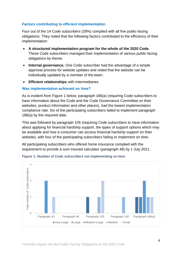#### **Factors contributing to efficient implementation**

Four out of the 14 Code subscribers (29%) complied with all five public-facing obligations. They noted that the following factors contributed to the efficiency of their implementation:

- **A structured implementation program for the whole of the 2020 Code.** These Code subscribers managed their implementation of various public-facing obligations by theme.
- **Internal governance.** One Code subscriber had the advantage of a simple approval process for website updates and noted that the website can be individually updated by a member of the team.
- **Efficient relationships** with intermediaries.

#### **Was implementation achieved on time?**

As is evident from Figure 1 below, paragraph 186(a) (requiring Code subscribers to have information about the Code and the Code Governance Committee on their websites, product information and other places), had the lowest implementation compliance rate. Six of the participating subscribers failed to implement paragraph 186(a) by the required date.

This was followed by paragraph 105 (requiring Code subscribers to have information about applying for financial hardship support, the types of support options which may be available and how a consumer can access financial hardship support on their website), with four of the participating subscribers failing to implement on time.

All participating subscribers who offered home insurance complied with the requirement to provide a sum insured calculator (paragraph 48) by 1 July 2021.



**Figure 1: Number of Code subscribers not implementing on time**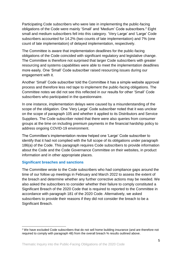Participating Code subscribers who were late in implementing the public-facing obligations of the Code were mainly 'Small' and 'Medium' Code subscribers. <sup>2</sup> Eight small and medium subscribers fell into this category. 'Very Large' and 'Large' Code subscribers accounted for 14.2% (two counts of late implementation) and 7% (one count of late implementation) of delayed implementation, respectively.

The Committee is aware that implementation deadlines for the public-facing obligations of the Code coincided with significant regulatory and legislative change. The Committee is therefore not surprised that larger Code subscribers with greater resourcing and systems capabilities were able to meet the implementation deadlines more easily. One 'Small' Code subscriber raised resourcing issues during our engagement with it.

Another 'Small' Code subscriber told the Committee it has a simple website approval process and therefore less red tape to implement the public-facing obligations. The Committee notes we did not see this reflected in our results for other 'Small' Code subscribers who participated in the questionnaire.

In one instance, implementation delays were caused by a misunderstanding of the scope of the obligation. One 'Very Large' Code subscriber noted that it was unclear on the scope of paragraph 105 and whether it applied to its Distributors and Service Suppliers. The Code subscriber noted that there were also queries from consumer groups at the time on including premium payments in the financial hardship policy to address ongoing COVID-19 environment.

The Committee's implementation review helped one 'Large' Code subscriber to identify that it had not complied with the full scope of its obligations under paragraph 186(a) of the Code. This paragraph requires Code subscribers to provide information about the Code and the Code Governance Committee on their websites, in product information and in other appropriate places.

#### **Significant breaches and sanctions**

1

The Committee wrote to the Code subscribers who had compliance gaps around the time of our follow up meetings in February and March 2022 to assess the extent of the breach and determine whether any further corrective actions may be needed. We also asked the subscribers to consider whether their failure to comply constituted a Significant Breach of the 2020 Code that is required to reported to the Committee in accordance with paragraph 181 of the 2020 Code. Alternatively, we asked subscribers to provide their reasons if they did not consider the breach to be a Significant Breach.

<sup>2</sup> We have excluded Code subscribers that do not sell home building insurance (and are therefore not required to comply with paragraph 48) from the overall breach % results outlined above.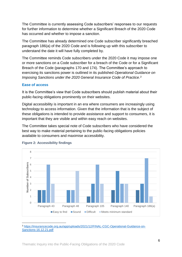The Committee is currently assessing Code subscribers' responses to our requests for further information to determine whether a Significant Breach of the 2020 Code has occurred and whether to impose a sanction.

The Committee has already determined one Code subscriber significantly breached paragraph 186(a) of the 2020 Code and is following up with this subscriber to understand the date it will have fully completed by.

The Committee reminds Code subscribers under the 2020 Code it may impose one or more sanctions on a Code subscriber for a breach of the Code or for a Significant Breach of the Code (paragraphs 170 and 174). The Committee's approach to exercising its sanctions power is outlined in its published *Operational Guidance on Imposing Sanctions under the 2020 General Insurance Code of Practice.<sup>3</sup>*

#### **Ease of access**

It is the Committee's view that Code subscribers should publish material about their public-facing obligations prominently on their websites.

Digital accessibility is important in an era where consumers are increasingly using technology to access information. Given that the information that is the subject of these obligations is intended to provide assistance and support to consumers, it is important that they are visible and within easy reach on websites.

The Committee takes special note of Code subscribers who have considered the best way to make material pertaining to the public-facing obligations policies available to consumers and maximise accessibility.



#### **Figure 2: Accessibility findings**

 $\overline{a}$ <sup>3</sup> [https://insurancecode.org.au/app/uploads/2021/12/FINAL-CGC-Operational-Guidance-on-](https://insurancecode.org.au/app/uploads/2021/12/FINAL-CGC-Operational-Guidance-on-Sanctions-16.12.21.pdf)[Sanctions-16.12.21.pdf](https://insurancecode.org.au/app/uploads/2021/12/FINAL-CGC-Operational-Guidance-on-Sanctions-16.12.21.pdf)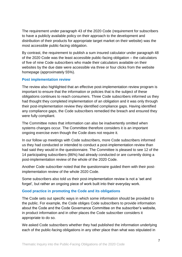The requirement under paragraph 43 of the 2020 Code (requirement for subscribers to have a publicly available policy on their approach to the development and distribution of their products for appropriate target market on their website) was the most accessible public-facing obligation.

By contrast, the requirement to publish a sum insured calculator under paragraph 48 of the 2020 Code was the least accessible public-facing obligation – the calculators of five of nine Code subscribers who made their calculators available on their websites by the due date were accessible via three or four clicks from the website homepage (approximately 55%).

#### **Post implementation review**

The review also highlighted that an effective post-implementation review program is important to ensure that the information or policies that is the subject of these obligations continues to reach consumers. Three Code subscribers informed us they had thought they completed implementation of an obligation and it was only through their post-implementation review they identified compliance gaps. Having identified any compliance gaps, the Code subscribers remedied the breach and ensured they were fully compliant.

The Committee notes that information can also be inadvertently omitted when systems changes occur. The Committee therefore considers it is an important ongoing exercise even though the Code does not require it.

In our follow up meetings with Code subscribers, more Code subscribers informed us they had conducted or intended to conduct a post-implementation review than had said they would in the questionnaire. The Committee is pleased to see 12 of the 14 participating subscribers (86%) had already conducted or are currently doing a post-implementation review of the whole of the 2020 Code.

Another Code subscriber noted that the questionnaire guided them with their postimplementation review of the whole 2020 Code.

Some subscribers also told us their post-implementation review is not a 'set and forget', but rather an ongoing piece of work built into their everyday work.

#### **Good practice in promoting the Code and its obligations**

The Code sets out specific ways in which some information should be provided to the public. For example, the Code obliges Code subscribers to provide information about the Code and the Code Governance Committee on the subscriber's website, in product information and in other places the Code subscriber considers it appropriate to do so.

We asked Code subscribers whether they had published the information underlying each of the public-facing obligations in any other place than what was stipulated in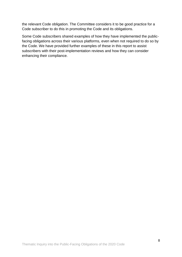the relevant Code obligation. The Committee considers it to be good practice for a Code subscriber to do this in promoting the Code and its obligations.

Some Code subscribers shared examples of how they have implemented the publicfacing obligations across their various platforms, even when not required to do so by the Code. We have provided further examples of these in this report to assist subscribers with their post-implementation reviews and how they can consider enhancing their compliance.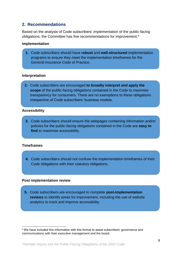# **2. Recommendations**

Based on the analysis of Code subscribers' implementation of the public-facing obligations, the Committee has five recommendations for improvement. 4

#### **Implementation**

**1.** Code subscribers should have **robust** and **well-structured** implementation programs to ensure they meet the implementation timeframes for the General Insurance Code of Practice.

#### **Interpretation**

**2.** Code subscribers are encouraged **to broadly interpret and apply the scope** of the public-facing obligations contained in the Code to maximise transparency for consumers. There are no exemptions to these obligations irrespective of Code subscribers' business models.

#### **Accessibility**

**3.** Code subscribers should ensure the webpages containing information and/or policies for the public-facing obligations contained in the Code are **easy to find** to maximise accessibility.

#### **Timeframes**

**4.** Code subscribers should not confuse the implementation timeframes of their Code obligations with their statutory obligations.

#### **Post implementation review**

**5.** Code subscribers are encouraged to complete **post-implementation reviews** to identify areas for improvement, including the use of website analytics to track and improve accessibility.

<sup>1</sup> <sup>4</sup> We have included this information with this format to assist subscribers' governance and communications with their executive management and the board.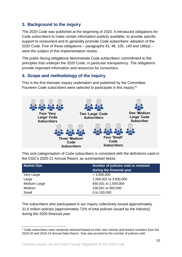# **3. Background to the inquiry**

The 2020 Code was published at the beginning of 2020. It introduced obligations for Code subscribers to make certain information publicly available, to provide specific support to consumers and to generally promote Code subscribers' adoption of the 2020 Code. Five of these obligations – paragraphs 43, 48, 105, 140 and 186(a) – were the subject of this implementation review.

The public-facing obligations demonstrate Code subscribers' commitment to the principles that underpin the 2020 Code, in particular transparency. The obligations provide important information and resources for consumers.

# **4. Scope and methodology of the inquiry**

This is the first thematic inquiry undertaken and published by the Committee. Fourteen Code subscribers were selected to participate in this inquiry: 5



This size categorisation of Code subscribers is consistent with the definitions used in the CGC's 2020-21 Annual Report, as summarised below.

| <b>Market Size</b> | Number of policies sold or renewed<br>during the financial year |
|--------------------|-----------------------------------------------------------------|
| Very Large         | > 3,000,000                                                     |
| Large              | 1,500,001 to 3,000,000                                          |
| Medium Large       | 650,001 to 1,500,000                                            |
| Medium             | 100,501 to 650,000                                              |
| Small              | 0 to 100,000                                                    |

The subscribers who participated in our inquiry collectively issued approximately 31.6 million policies (approximately 72% of total policies issued by the industry) during the 2020 financial year.

<sup>1</sup> <sup>5</sup> Code subscribers were randomly selected based on their size cohorts and breach numbers from the 2019-20 and 2018-19 Annual Data Return. Size was proxied by the number of policies sold.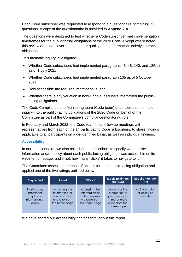Each Code subscriber was requested to respond to a questionnaire containing 72 questions. A copy of the questionnaire is provided in **Appendix A.**

The questions were designed to test whether a Code subscriber met implementation timeframes for the public-facing obligations of the 2020 Code. Except where noted, this review does not cover the content or quality of the information underlying each obligation.

This thematic inquiry investigated:

- Whether Code subscribers had implemented paragraphs 43, 48, 140, and 186(a) as of 1 July 2021.
- Whether Code subscribers had implemented paragraph 105 as of 5 October 2021.
- How accessible the required information is: and
- Whether there is any variation in how Code subscribers interpreted the publicfacing obligations.

The Code Compliance and Monitoring team (Code team) undertook this thematic inquiry into the public-facing obligations of the 2020 Code on behalf of the Committee as part of the Committee's compliance monitoring role.

In February and March 2022, the Code team held follow up meetings with representatives from each of the 14 participating Code subscribers, to share findings applicable to all participants on a de-identified basis, as well as individual findings.

#### **Accessibility**

In our questionnaire, we also asked Code subscribers to specify whether the information and/or policy about each public-facing obligation was accessible on its website homepage, and if not, how many 'clicks' it takes to navigate to it.

The Committee assessed the ease of access for each public-facing obligation and applied one of the five ratings outlined below.

| Easy to find                                                       | Sound                                                                                 | <b>Difficult</b>                                                                       | Meets minimum<br>standard                                                                           | <b>Requirement not</b><br>met             |
|--------------------------------------------------------------------|---------------------------------------------------------------------------------------|----------------------------------------------------------------------------------------|-----------------------------------------------------------------------------------------------------|-------------------------------------------|
| Front page,<br>prominent<br>display of<br>information or<br>policy | Accessing the<br>information or<br>policy requires<br>one click from<br>the home page | Accessing the<br>information or<br>policy requires<br>two clicks from<br>the home page | Accessing the<br>information or<br>policy requires<br>three or more<br>clicks from the<br>home page | No information<br>or policy on<br>website |

We have shared our accessibility findings throughout this report.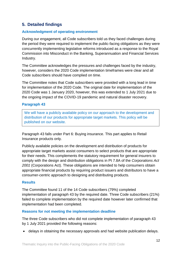# **5. Detailed findings**

#### **Acknowledgment of operating environment**

During our engagement, all Code subscribers told us they faced challenges during the period they were required to implement the public-facing obligations as they were concurrently implementing legislative reforms introduced as a response to the Royal Commission into Misconduct in the Banking, Superannuation and Financial Services Industry.

The Committee acknowledges the pressures and challenges faced by the industry, however, considers the 2020 Code implementation timeframes were clear and all Code subscribers should have complied on time.

The Committee notes that Code subscribers were provided with a long lead in time for implementation of the 2020 Code. The original date for implementation of the 2020 Code was 1 January 2020, however, this was extended to 1 July 2021 due to the ongoing impact of the COVID-19 pandemic and natural disaster recovery.

#### **Paragraph 43**

We will have a publicly available policy on our approach to the development and distribution of our products for appropriate target markets. This policy will be published on our website.

Paragraph 43 falls under Part 6: Buying insurance. This part applies to Retail Insurance products only.

Publicly available policies on the development and distribution of products for appropriate target markets assist consumers to select products that are appropriate for their needs. This complements the statutory requirement for general insurers to comply with the design and distribution obligations in Pt 7.8A of the *Corporations Act 2001* (Corporations Act). These obligations are intended to help consumers obtain appropriate financial products by requiring product issuers and distributors to have a consumer-centric approach to designing and distributing products.

#### **Results**

The Committee found 11 of the 14 Code subscribers (79%) completed implementation of paragraph 43 by the required date. Three Code subscribers (21%) failed to complete implementation by the required date however later confirmed that implementation had been completed.

#### **Reasons for not meeting the implementation deadline**

The three Code subscribers who did not complete implementation of paragraph 43 by 1 July 2021 provided the following reasons:

• delays in obtaining the necessary approvals and had website publication delays.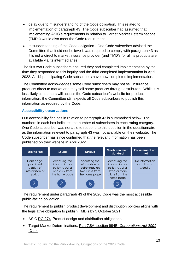- delay due to misunderstanding of the Code obligation. This related to implementation of paragraph 43. The Code subscriber had assumed that implementing ASIC's requirements in relation to Target Market Determinations (TMDs) would also meet the Code requirement.
- misunderstanding of the Code obligation One Code subscriber advised the Committee that it did not believe it was required to comply with paragraph 43 as it is not a direct to market insurance provider (and TMD's for all its products are available via its intermediaries).

The first two Code subscribers ensured they had completed implementation by the time they responded to this inquiry and the third completed implementation in April 2022. All 14 participating Code subscribers have now completed implementation.

The Committee acknowledges some Code subscribers may not sell insurance products direct to market and may sell some products through distributors. While it is less likely consumers will access the Code subscriber's website for product information, the Committee still expects all Code subscribers to publish this information as required by the Code.

#### **Accessibility observations**

Our accessibility findings in relation to paragraph 43 is summarised below. The numbers in each box indicates the number of subscribers in each rating category. One Code subscriber was not able to respond to this question in the questionnaire as the information relevant to paragraph 43 was not available on their website. The Code subscriber has since confirmed that the relevant information has been published on their website in April 2022.



The requirement under paragraph 43 of the 2020 Code was the most accessible public-facing obligation.

The requirement to publish product development and distribution policies aligns with the legislative obligation to publish TMD's by 5 October 2021:

- ASIC [RG 274](https://asic.gov.au/media/5899239/rg274-published-11-december-2020-20201218.pdf) 'Product design and distribution obligations'
- Target Market Determinations, [Part 7.8A, section 994B,](http://www5.austlii.edu.au/au/legis/cth/consol_act/ca2001172/s994b.html) *Corporations Act 2001* [\(Cth\).](http://www5.austlii.edu.au/au/legis/cth/consol_act/ca2001172/s994b.html)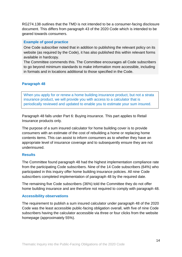RG274.138 outlines that the TMD is not intended to be a consumer-facing disclosure document. This differs from paragraph 43 of the 2020 Code which is intended to be geared towards consumers.

#### **Example of good practice**

One Code subscriber noted that in addition to publishing the relevant policy on its website (as required by the Code), it has also published this within relevant forms available in hardcopy.

The Committee commends this. The Committee encourages all Code subscribers to go beyond minimum standards to make information more accessible, including in formats and in locations additional to those specified in the Code.

#### **Paragraph 48**

When you apply for or renew a home building insurance product, but not a strata insurance product, we will provide you with access to a calculator that is periodically reviewed and updated to enable you to estimate your sum insured.

Paragraph 48 falls under Part 6: Buying insurance. This part applies to Retail Insurance products only.

The purpose of a sum insured calculator for home building cover is to provide consumers with an estimate of the cost of rebuilding a home or replacing home contents items. This can assist to inform consumers as to whether they have an appropriate level of insurance coverage and to subsequently ensure they are not underinsured.

#### **Results**

The Committee found paragraph 48 had the highest implementation compliance rate from the participating Code subscribers. Nine of the 14 Code subscribers (64%) who participated in this inquiry offer home building insurance policies. All nine Code subscribers completed implementation of paragraph 48 by the required date.

The remaining five Code subscribers (36%) told the Committee they do not offer home building insurance and are therefore not required to comply with paragraph 48.

#### **Accessibility observations**

The requirement to publish a sum insured calculator under paragraph 48 of the 2020 Code was the least accessible public-facing obligation overall, with five of nine Code subscribers having the calculator accessible via three or four clicks from the website homepage (approximately 55%).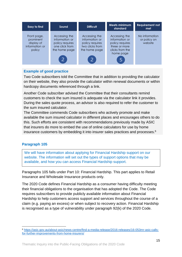

#### **Example of good practice**

Two Code subscribers told the Committee that in addition to providing the calculator on their website, they also provide the calculator within renewal documents or within hardcopy documents referenced through a link.

Another Code subscriber advised the Committee that their consultants remind customers to check the sum insured is adequate via the calculator link it provides. During the sales quote process, an advisor is also required to refer the customer to the sum insured calculator.

The Committee commends Code subscribers who actively promote and make available the sum insured calculator in different places and encourages others to do this. Such efforts are consistent with recommendations previously made by ASIC that insurers do more to embed the use of online calculators for use by home insurance customers by embedding it into insurer sales practices and processes.<sup>6</sup>

## **Paragraph 105**

We will have information about applying for Financial Hardship support on our website. The information will set out the types of support options that may be available, and how you can access Financial Hardship support.

Paragraphs 105 falls under Part 10: Financial Hardship. This part applies to Retail Insurance and Wholesale Insurance products only.

The 2020 Code defines Financial Hardship as a consumer having difficulty meeting their financial obligations to the organisation that has adopted the Code. The Code requires subscribers to provide publicly available information about Financial Hardship to help customers access support and services throughout the course of a claim (e.g. paying an excess) or when subject to recovery action. Financial Hardship is recognised as a type of vulnerability under paragraph 92(k) of the 2020 Code.

<sup>1</sup> <sup>6</sup> [https://asic.gov.au/about-asic/news-centre/find-a-media-release/2016-releases/16-053mr-asic-calls](https://asic.gov.au/about-asic/news-centre/find-a-media-release/2016-releases/16-053mr-asic-calls-for-further-improvements-from-home-insurers/)[for-further-improvements-from-home-insurers/](https://asic.gov.au/about-asic/news-centre/find-a-media-release/2016-releases/16-053mr-asic-calls-for-further-improvements-from-home-insurers/)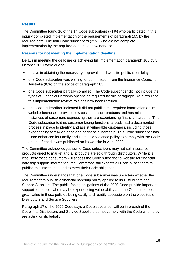#### **Results**

The Committee found 10 of the 14 Code subscribers (71%) who participated in this inquiry completed implementation of the requirements of paragraph 105 by the required date. The four Code subscribers (29%) who did not complete implementation by the required date, have now done so.

#### **Reasons for not meeting the implementation deadline**

Delays in meeting the deadline or achieving full implementation paragraph 105 by 5 October 2021 were due to:

- delays in obtaining the necessary approvals and website publication delays.
- one Code subscriber was waiting for confirmation from the Insurance Council of Australia (ICA) on the scope of paragraph 105.
- one Code subscriber partially complied. The Code subscriber did not include the types of Financial Hardship options as required by this paragraph. As a result of this implementation review, this has now been rectified.
- one Code subscriber indicated it did not publish the required information on its website because it provides low cost insurance products and has minimal instances of customers expressing they are experiencing financial hardship. This Code subscriber told us customer facing functions already had a documented process in place to identify and assist vulnerable customers, including those experiencing family violence and/or financial hardship. This Code subscriber has since enhanced its Family and Domestic Violence policy to comply with the Code and confirmed it was published on its website in April 2022.

The Committee acknowledges some Code subscribers may not sell insurance products direct to market and all products are sold through distributors. While it is less likely these consumers will access the Code subscriber's website for financial hardship support information, the Committee still expects all Code subscribers to publish this information and to meet their Code obligations.

The Committee understands that one Code subscriber was uncertain whether the requirement to publish a financial hardship policy applied to its Distributors and Service Suppliers. The public-facing obligations of the 2020 Code provide important support for people who may be experiencing vulnerability and the Committee sees great value in these policies being easily and readily accessible on the websites of Distributors and Service Suppliers.

Paragraph 17 of the 2020 Code says a Code subscriber will be in breach of the Code if its Distributors and Service Suppliers do not comply with the Code when they are acting on its behalf.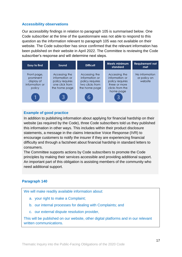#### **Accessibility observations**

Our accessibility findings in relation to paragraph 105 is summarised below. One Code subscriber at the time of the questionnaire was not able to respond to this question as the information relevant to paragraph 105 was not available on their website. The Code subscriber has since confirmed that the relevant information has been published on their website in April 2022. The Committee is reviewing the Code subscriber's response and will determine next steps.



#### **Example of good practice**

In addition to publishing information about applying for financial hardship on their website (as required by the Code), three Code subscribers told us they published this information in other ways. This includes within their product disclosure statements, a message in the claims Interactive Voice Response (IVR) to encourage customers to notify the insurer if they are experiencing financial difficulty and through a factsheet about financial hardship in standard letters to consumers.

The Committee supports actions by Code subscribers to promote the Code principles by making their services accessible and providing additional support. An important part of this obligation is assisting members of the community who need additional support.

#### **Paragraph 140**

We will make readily available information about:

- a. your right to make a Complaint;
- b. our internal processes for dealing with Complaints; and
- c. our external dispute resolution provider,

This will be published on our website, other digital platforms and in our relevant written communications.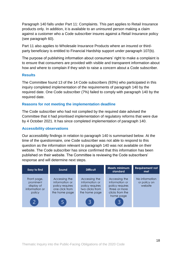Paragraph 140 falls under Part 11: Complaints. This part applies to Retail Insurance products only. In addition, it is available to an uninsured person making a claim against a customer who a Code subscriber insures against a Retail Insurance policy (see paragraph 60).

Part 11 also applies to Wholesale Insurance Products where an insured or thirdparty beneficiary is entitled to Financial Hardship support under paragraph 107(b).

The purpose of publishing information about consumers' right to make a complaint is to ensure that consumers are provided with visible and transparent information about how and where to complain if they wish to raise a concern about a Code subscriber.

#### **Results**

The Committee found 13 of the 14 Code subscribers (93%) who participated in this inquiry completed implementation of the requirements of paragraph 140 by the required date. One Code subscriber (7%) failed to comply with paragraph 140 by the required date.

#### **Reasons for not meeting the implementation deadline**

The Code subscriber who had not complied by the required date advised the Committee that it had prioritised implementation of regulatory reforms that were due by 4 October 2021. It has since completed implementation of paragraph 140.

#### **Accessibility observations**

Our accessibility findings in relation to paragraph 140 is summarised below. At the time of the questionnaire, one Code subscriber was not able to respond to this question as the information relevant to paragraph 140 was not available on their website. The Code subscriber has since confirmed that this information has been published on their website. The Committee is reviewing the Code subscribers' response and will determine next steps.

| Easy to find                                                                         | Sound                                                                                 | <b>Difficult</b>                                                                       | Meets minimum<br>standard                                                                           | <b>Requirement not</b><br>met             |
|--------------------------------------------------------------------------------------|---------------------------------------------------------------------------------------|----------------------------------------------------------------------------------------|-----------------------------------------------------------------------------------------------------|-------------------------------------------|
| Front page,<br>prominent<br>display of<br>information or<br>policy<br>$\overline{z}$ | Accessing the<br>information or<br>policy requires<br>one click from<br>the home page | Accessing the<br>information or<br>policy requires<br>two clicks from<br>the home page | Accessing the<br>information or<br>policy requires<br>three or more<br>clicks from the<br>home page | No information<br>or policy on<br>website |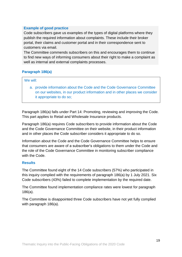#### **Example of good practice**

Code subscribers gave us examples of the types of digital platforms where they publish the required information about complaints. These include their broker portal, their claims and customer portal and in their correspondence sent to customers via email.

The Committee commends subscribers on this and encourages them to continue to find new ways of informing consumers about their right to make a complaint as well as internal and external complaints processes.

#### **Paragraph 186(a)**

#### We will:

a. provide information about the Code and the Code Governance Committee on our websites, in our product information and in other places we consider it appropriate to do so;

Paragraph 186(a) falls under Part 14: Promoting, reviewing and improving the Code. This part applies to Retail and Wholesale Insurance products.

Paragraph 186(a) requires Code subscribers to provide information about the Code and the Code Governance Committee on their website, in their product information and in other places the Code subscriber considers it appropriate to do so.

Information about the Code and the Code Governance Committee helps to ensure that consumers are aware of a subscriber's obligations to them under the Code and the role of the Code Governance Committee in monitoring subscriber compliance with the Code.

#### **Results**

The Committee found eight of the 14 Code subscribers (57%) who participated in this inquiry complied with the requirements of paragraph 186(a) by 1 July 2021. Six Code subscribers (43%) failed to complete implementation by the required date.

The Committee found implementation compliance rates were lowest for paragraph 186(a).

The Committee is disappointed three Code subscribers have not yet fully complied with paragraph 186(a).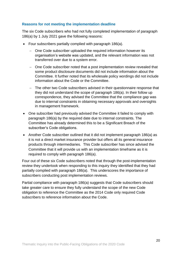#### **Reasons for not meeting the implementation deadline**

The six Code subscribers who had not fully completed implementation of paragraph 186(a) by 1 July 2021 gave the following reasons:

- Four subscribers partially complied with paragraph 186(a).
	- One Code subscriber uploaded the required information however its organisation's website was updated, and the relevant information was not transferred over due to a system error.
	- One Code subscriber noted that a post implementation review revealed that some product disclosure documents did not include information about the Committee. It further noted that its wholesale policy wordings did not include information about the Code or the Committee.
	- The other two Code subscribers advised in their questionnaire response that they did not understand the scope of paragraph 186(a). In their follow up correspondence, they advised the Committee that the compliance gap was due to internal constraints in obtaining necessary approvals and oversights in management framework.
- One subscriber had previously advised the Committee it failed to comply with paragraph 186(a) by the required date due to internal constraints. The Committee has already determined this to be a Significant Breach of the subscriber's Code obligations.
- Another Code subscriber outlined that it did not implement paragraph 186(a) as it is not a direct market insurance provider but offers all its general insurance products through intermediaries. This Code subscriber has since advised the Committee that it will provide us with an implementation timeframe as it is required to comply with paragraph 186(a).

Four out of these six Code subscribers noted that through the post-implementation review they undertook when responding to this inquiry they identified that they had partially complied with paragraph 186(a). This underscores the importance of subscribers conducting post implementation reviews.

Partial compliance with paragraph 186(a) suggests that Code subscribers should take greater care to ensure they fully understand the scope of the new Code obligation to reference the Committee as the 2014 Code only required Code subscribers to reference information about the Code.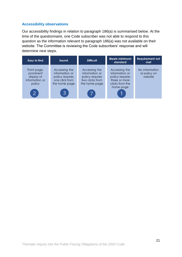#### **Accessibility observations**

Our accessibility findings in relation to paragraph 186(a) is summarised below. At the time of the questionnaire, one Code subscriber was not able to respond to this question as the information relevant to paragraph 186(a) was not available on their website. The Committee is reviewing the Code subscribers' response and will determine next steps.

| <b>Easy to find</b>                                                | Sound                                                                                 | <b>Difficult</b>                                                                       | <b>Meets minimum</b><br>standard                                                                    | <b>Requirement not</b><br>met             |
|--------------------------------------------------------------------|---------------------------------------------------------------------------------------|----------------------------------------------------------------------------------------|-----------------------------------------------------------------------------------------------------|-------------------------------------------|
| Front page,<br>prominent<br>display of<br>information or<br>policy | Accessing the<br>information or<br>policy requires<br>one click from<br>the home page | Accessing the<br>information or<br>policy requires<br>two clicks from<br>the home page | Accessing the<br>information or<br>policy requires<br>three or more<br>clicks from the<br>home page | No information<br>or policy on<br>website |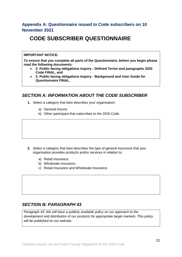# **Appendix A: Questionnaire issued to Code subscribers on 10 November 2021**

# **CODE SUBSCRIBER QUESTIONNAIRE**

#### **IMPORTANT NOTICE:**

**To ensure that you complete all parts of the Questionnaire, before you begin please read the following documents:**

- **2. Public-facing obligations inquiry - Defined Terms and paragraphs 2020 Code FINAL, and**
- **3. Public-facing obligations Inquiry - Background and User Guide for Questionnaire FINAL.**

# *SECTION A: INFORMATION ABOUT THE CODE SUBSCRIBER*

- **1.** Select a category that best describes your organisation:
	- a) General Insurer.
	- b) Other participant that subscribes to the 2020 Code.

- **2.** Select a category that best describes the type of general insurance that your organisation provides products and/or services in relation to:
	- a) Retail Insurance.
	- b) Wholesale Insurance.
	- c) Retail Insurance and Wholesale Insurance.

# *SECTION B: PARAGRAPH 43*

*Paragraph 43: We will have a publicly available policy on our approach to the development and distribution of our products for appropriate target markets. This policy will be published on our website*.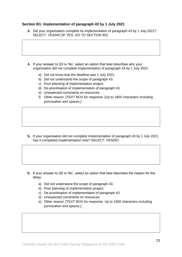#### **Section B1: Implementation of paragraph 43 by 1 July 2021**

- **3.** Did your organisation complete its implementation of paragraph 43 by 1 July 2021? SELECT: YES/NO [IF YES, GO TO SECTION B2]
- **4.** If your answer to Q3 is 'No', select an option that best describes why your organisation did not complete implementation of paragraph 43 by 1 July 2021:
	- a) Did not know that the deadline was 1 July 2021.
	- b) Did not understand the scope of paragraph 43.
	- c) Poor planning of implementation project.
	- d) De-prioritisation of implementation of paragraph 43.
	- e) Unexpected constraints on resources.
	- f) Other reason. [TEXT BOX for response. [Up to 1800 characters including punctuation and spaces.]

**5.** If your organisation did not complete implementation of paragraph 43 by 1 July 2021, has it completed implementation now? SELECT: YES/NO

- **6.** If your answer to Q5 is 'No', select an option that best describes the reason for the delay:
	- a) Did not understand the scope of paragraph 43.
	- b) Poor planning of implementation project.
	- c) De-prioritisation of implementation of paragraph 43.
	- d) Unexpected constraints on resources.
	- e) Other reason. [TEXT BOX for response. Up to 1800 characters including punctuation and spaces.]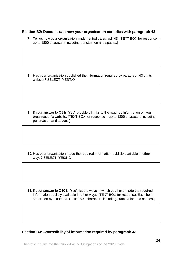#### **Section B2: Demonstrate how your organisation complies with paragraph 43**

**7.** Tell us how your organisation implemented paragraph 43. [TEXT BOX for response – up to 1800 characters including punctuation and spaces.]

**8.** Has your organisation published the information required by paragraph 43 on its website? SELECT: YES/NO

**9.** If your answer to Q8 is 'Yes', provide all links to the required information on your organisation's website. [TEXT BOX for response – up to 1800 characters including punctuation and spaces.]

**10.** Has your organisation made the required information publicly available in other ways? SELECT: YES/NO

**11.** If your answer to Q10 is 'Yes', list the ways in which you have made the required information publicly available in other ways. [TEXT BOX for response. Each item separated by a comma. Up to 1800 characters including punctuation and spaces.

**Section B3: Accessibility of information required by paragraph 43**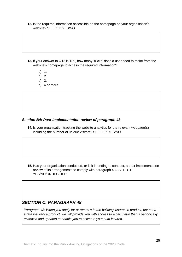#### **12.** Is the required information accessible on the homepage on your organisation's website? SELECT: YES/NO

- **13.** If your answer to Q12 is 'No', how many 'clicks' does a user need to make from the website's homepage to access the required information?
	- a) 1.
	- b) 2.
	- c) 3.
	- d) 4 or more.

#### *Section B4: Post-implementation review of paragraph 43*

**14.** Is your organisation tracking the website analytics for the relevant webpage(s) including the number of unique visitors? SELECT: YES/NO

**15.** Has your organisation conducted, or is it intending to conduct, a post-implementation review of its arrangements to comply with paragraph 43? SELECT: YES/NO/UNDECIDED

## *SECTION C: PARAGRAPH 48*

*Paragraph 48: When you apply for or renew a home building insurance product, but not a strata insurance product, we will provide you with access to a calculator that is periodically reviewed and updated to enable you to estimate your sum insured*.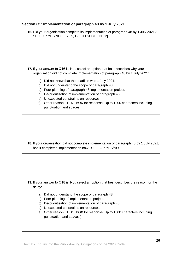#### **Section C1: Implementation of paragraph 48 by 1 July 2021**

**16.** Did your organisation complete its implementation of paragraph 48 by 1 July 2021? SELECT: YES/NO IIF YES, GO TO SECTION C21

**17.** If your answer to Q16 is 'No', select an option that best describes why your organisation did not complete implementation of paragraph 48 by 1 July 2021:

- a) Did not know that the deadline was 1 July 2021.
- b) Did not understand the scope of paragraph 48.
- c) Poor planning of paragraph 48 implementation project.
- d) De-prioritisation of implementation of paragraph 48.
- e) Unexpected constraints on resources.
- f) Other reason. [TEXT BOX for response. Up to 1800 characters including punctuation and spaces.]

**18.** If your organisation did not complete implementation of paragraph 48 by 1 July 2021, has it completed implementation now? SELECT: YES/NO

- **19.** If your answer to Q18 is 'No', select an option that best describes the reason for the delay:
	- a) Did not understand the scope of paragraph 48.
	- b) Poor planning of implementation project.
	- c) De-prioritisation of implementation of paragraph 48.
	- d) Unexpected constraints on resources.
	- e) Other reason. [TEXT BOX for response. Up to 1800 characters including punctuation and spaces.]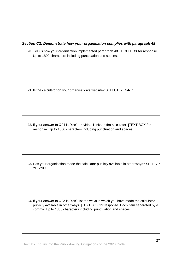#### *Section C2: Demonstrate how your organisation complies with paragraph 48*

**20.** Tell us how your organisation implemented paragraph 48. [TEXT BOX for response. Up to 1800 characters including punctuation and spaces.]

**21.** Is the calculator on your organisation's website? SELECT: YES/NO

**22.** If your answer to Q21 is 'Yes', provide all links to the calculator. [TEXT BOX for response. Up to 1800 characters including punctuation and spaces.]

**23.** Has your organisation made the calculator publicly available in other ways? SELECT: YES/NO

**24.** If your answer to Q23 is 'Yes', list the ways in which you have made the calculator publicly available in other ways. [TEXT BOX for response. Each item separated by a comma. Up to 1800 characters including punctuation and spaces.]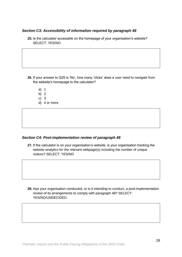#### *Section C3: Accessibility of information required by paragraph 48*

**25.** Is the calculator accessible on the homepage of your organisation's website? SELECT: YES/NO

**26.** If your answer to Q25 is 'No', how many 'clicks' does a user need to navigate from the website's homepage to the calculator?

- a) 1
- b) 2
- c) 3
- d) 4 or more

#### *Section C4: Post-implementation review of paragraph 48*

**27.** If the calculator is on your organisation's website, is your organisation tracking the website analytics for the relevant webpage(s) including the number of unique visitors? SELECT: YES/NO

**28.** Has your organisation conducted, or is it intending to conduct, a post-implementation review of its arrangements to comply with paragraph 48? SELECT: YES/NO/UNDECIDED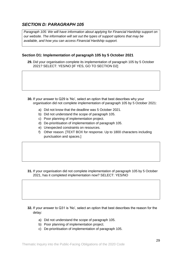# *SECTION D: PARAGRAPH 105*

*Paragraph 105: We will have information about applying for Financial Hardship support on our website. The information will set out the types of support options that may be available, and how you can access Financial Hardship support.* 

#### **Section D1: Implementation of paragraph 105 by 5 October 2021**

**29.** Did your organisation complete its implementation of paragraph 105 by 5 October 2021? SELECT: YES/NO [IF YES, GO TO SECTION D2]

- **30.** If your answer to Q29 is 'No', select an option that best describes why your organisation did not complete implementation of paragraph 105 by 5 October 2021:
	- a) Did not know that the deadline was 5 October 2021.
	- b) Did not understand the scope of paragraph 105.
	- c) Poor planning of implementation project.
	- d) De-prioritisation of implementation of paragraph 105.
	- e) Unexpected constraints on resources.
	- f) Other reason. [TEXT BOX for response. Up to 1800 characters including punctuation and spaces.]

**31.** If your organisation did not complete implementation of paragraph 105 by 5 October 2021, has it completed implementation now? SELECT: YES/NO

- **32.** If your answer to Q31 is 'No', select an option that best describes the reason for the delay:
	- a) Did not understand the scope of paragraph 105.
	- b) Poor planning of implementation project.
	- c) De-prioritisation of implementation of paragraph 105.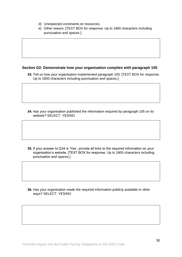- d) Unexpected constraints on resources.
- e) Other reason. [TEXT BOX for response. Up to 1800 characters including punctuation and spaces.]

#### **Section D2: Demonstrate how your organisation complies with paragraph 105**

**33.** Tell us how your organisation implemented paragraph 105. [TEXT BOX for response. Up to 1800 characters including punctuation and spaces.]

**34.** Has your organisation published the information required by paragraph 105 on its website? SELECT: YES/NO

**35.** If your answer to Q34 is 'Yes', provide all links to the required information on your organisation's website. [TEXT BOX for response. Up to 1800 characters including punctuation and spaces.]

**36.** Has your organisation made the required information publicly available in other ways? SELECT: YES/NO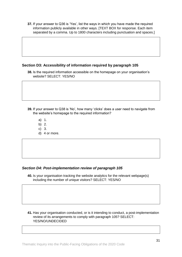**37.** If your answer to Q36 is 'Yes', list the ways in which you have made the required information publicly available in other ways. [TEXT BOX for response. Each item separated by a comma. Up to 1800 characters including punctuation and spaces.

#### **Section D3: Accessibility of information required by paragraph 105**

**38.** Is the required information accessible on the homepage on your organisation's website? SELECT: YES/NO

- **39.** If your answer to Q38 is 'No', how many 'clicks' does a user need to navigate from the website's homepage to the required information?
	- a) 1.
	- b) 2.
	- c) 3.
	- d) 4 or more.

#### *Section D4: Post-implementation review of paragraph 105*

**40.** Is your organisation tracking the website analytics for the relevant webpage(s) including the number of unique visitors? SELECT: YES/NO

#### **41.** Has your organisation conducted, or is it intending to conduct, a post-implementation review of its arrangements to comply with paragraph 105? SELECT: YES/NO/UNDECIDED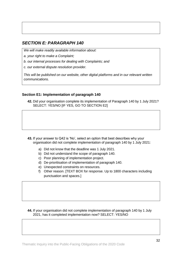# *SECTION E: PARAGRAPH 140*

*We will make readily available information about:* 

*a. your right to make a Complaint;* 

- *b. our internal processes for dealing with Complaints; and*
- *c. our external dispute resolution provider.*

*This will be published on our website, other digital platforms and in our relevant written communications.*

#### **Section E1: Implementation of paragraph 140**

**42.** Did your organisation complete its implementation of Paragraph 140 by 1 July 2021? SELECT: YES/NO IIF YES, GO TO SECTION E21

**43.** If your answer to Q42 is 'No', select an option that best describes why your organisation did not complete implementation of paragraph 140 by 1 July 2021:

- a) Did not know that the deadline was 1 July 2021.
- b) Did not understand the scope of paragraph 140.
- c) Poor planning of implementation project.
- d) De-prioritisation of implementation of paragraph 140.
- e) Unexpected constraints on resources.
- f) Other reason. [TEXT BOX for response. Up to 1800 characters including punctuation and spaces.]

#### **44.** If your organisation did not complete implementation of paragraph 140 by 1 July 2021, has it completed implementation now? SELECT: YES/NO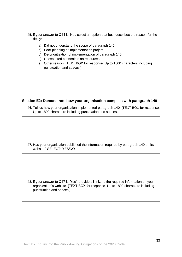- **45.** If your answer to Q44 is 'No', select an option that best describes the reason for the delay:
	- a) Did not understand the scope of paragraph 140.
	- b) Poor planning of implementation project.
	- c) De-prioritisation of implementation of paragraph 140.
	- d) Unexpected constraints on resources.
	- e) Other reason. [TEXT BOX for response. Up to 1800 characters including punctuation and spaces.]

#### **Section E2: Demonstrate how your organisation complies with paragraph 140**

**46.** Tell us how your organisation implemented paragraph 140. [TEXT BOX for response. Up to 1800 characters including punctuation and spaces.]

**47.** Has your organisation published the information required by paragraph 140 on its website? SELECT: YES/NO

**48.** If your answer to Q47 is 'Yes', provide all links to the required information on your organisation's website. [TEXT BOX for response. Up to 1800 characters including punctuation and spaces.]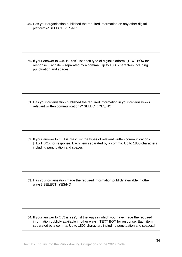**49.** Has your organisation published the required information on any other digital platforms? SELECT: YES/NO

**50.** If your answer to Q49 is 'Yes', list each type of digital platform. [TEXT BOX for response. Each item separated by a comma. Up to 1800 characters including punctuation and spaces.]

**51.** Has your organisation published the required information in your organisation's relevant written communications? SELECT: YES/NO

**52.** If your answer to Q51 is 'Yes', list the types of relevant written communications. [TEXT BOX for response. Each item separated by a comma. Up to 1800 characters including punctuation and spaces.]

**53.** Has your organisation made the required information publicly available in other ways? SELECT: YES/NO

**54.** If your answer to Q53 is Yes', list the ways in which you have made the required information publicly available in other ways. [TEXT BOX for response. Each item separated by a comma. Up to 1800 characters including punctuation and spaces.]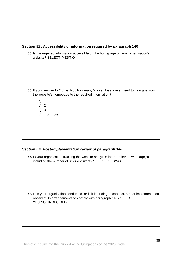#### **Section E3: Accessibility of information required by paragraph 140**

**55.** Is the required information accessible on the homepage on your organisation's website? SELECT: YES/NO

- **56.** If your answer to Q55 is 'No', how many 'clicks' does a user need to navigate from the website's homepage to the required information?
	- a) 1.
	- b) 2.
	- c) 3.
	- d) 4 or more.

#### *Section E4: Post-implementation review of paragraph 140*

**57.** Is your organisation tracking the website analytics for the relevant webpage(s) including the number of unique visitors? SELECT: YES/NO

**58.** Has your organisation conducted, or is it intending to conduct, a post-implementation review of its arrangements to comply with paragraph 140? SELECT: YES/NO/UNDECIDED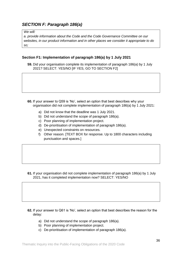# *SECTION F: Paragraph 186(a)*

#### *We will:*

*a. provide information about the Code and the Code Governance Committee on our websites, in our product information and in other places we consider it appropriate to do so;*

#### **Section F1: Implementation of paragraph 186(a) by 1 July 2021**

**59.** Did your organisation complete its implementation of paragraph 186(a) by 1 July 2021? SELECT: YES/NO [IF YES, GO TO SECTION F2]

- **60.** If your answer to Q59 is 'No', select an option that best describes why your organisation did not complete implementation of paragraph 186(a) by 1 July 2021:
	- a) Did not know that the deadline was 1 July 2021.
	- b) Did not understand the scope of paragraph 186(a).
	- c) Poor planning of implementation project.
	- d) De-prioritisation of implementation of paragraph 186(a).
	- e) Unexpected constraints on resources.
	- f) Other reason. [TEXT BOX for response. Up to 1800 characters including punctuation and spaces.]

**61.** If your organisation did not complete implementation of paragraph 186(a) by 1 July 2021, has it completed implementation now? SELECT: YES/NO

- **62.** If your answer to Q61 is 'No', select an option that best describes the reason for the delay:
	- a) Did not understand the scope of paragraph 186(a).
	- b) Poor planning of implementation project.
	- c) De-prioritisation of implementation of paragraph 186(a).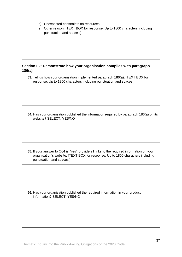- d) Unexpected constraints on resources.
- e) Other reason. [TEXT BOX for response. Up to 1800 characters including punctuation and spaces.]

#### **Section F2: Demonstrate how your organisation complies with paragraph 186(a)**

**63.** Tell us how your organisation implemented paragraph 186(a). [TEXT BOX for response. Up to 1800 characters including punctuation and spaces.]

**64.** Has your organisation published the information required by paragraph 186(a) on its website? SELECT: YES/NO

**65.** If your answer to Q64 is 'Yes', provide all links to the required information on your organisation's website. [TEXT BOX for response. Up to 1800 characters including punctuation and spaces.]

**66.** Has your organisation published the required information in your product information? SELECT: YES/NO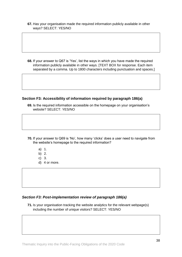**67.** Has your organisation made the required information publicly available in other ways? SELECT: YES/NO

**68.** If your answer to Q67 is 'Yes', list the ways in which you have made the required information publicly available in other ways. [TEXT BOX for response. Each item separated by a comma. Up to 1800 characters including punctuation and spaces.]

#### **Section F3: Accessibility of information required by paragraph 186(a)**

**69.** Is the required information accessible on the homepage on your organisation's website? SELECT: YES/NO

- **70.** If your answer to Q69 is 'No', how many 'clicks' does a user need to navigate from the website's homepage to the required information?
	- a) 1.
	- b) 2.
	- c) 3.
	- d) 4 or more.

#### *Section F3: Post-implementation review of paragraph 186(a)*

**71.** Is your organisation tracking the website analytics for the relevant webpage(s) including the number of unique visitors? SELECT: YES/NO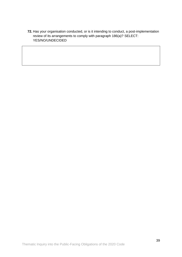**72.** Has your organisation conducted, or is it intending to conduct, a post-implementation review of its arrangements to comply with paragraph 186(a)? SELECT: YES/NO/UNDECIDED